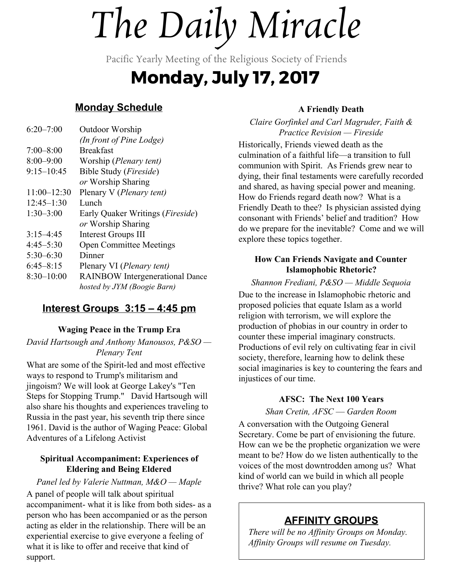# *The Daily Miracle*

Pacific Yearly Meeting of the Religious Society of Friends

# **Monday, July 17, 2017**

# **Monday Schedule**

| $6:20 - 7:00$   | Outdoor Worship                           |
|-----------------|-------------------------------------------|
|                 | (In front of Pine Lodge)                  |
| $7:00 - 8:00$   | <b>Breakfast</b>                          |
| $8:00 - 9:00$   | Worship ( <i>Plenary tent</i> )           |
| $9:15 - 10:45$  | Bible Study ( <i>Fireside</i> )           |
|                 | or Worship Sharing                        |
| $11:00 - 12:30$ | Plenary V (Plenary tent)                  |
| $12:45 - 1:30$  | Lunch                                     |
| $1:30-3:00$     | Early Quaker Writings ( <i>Fireside</i> ) |
|                 | or Worship Sharing                        |
| $3:15-4:45$     | <b>Interest Groups III</b>                |
| $4:45 - 5:30$   | <b>Open Committee Meetings</b>            |
| $5:30-6:30$     | Dinner                                    |
| $6:45 - 8:15$   | Plenary VI ( <i>Plenary tent</i> )        |
| $8:30 - 10:00$  | <b>RAINBOW</b> Intergenerational Dance    |
|                 | hosted by JYM (Boogie Barn)               |
|                 |                                           |

# **Interest Groups 3:15 – 4:45 pm**

# **Waging Peace in the Trump Era**

*David Hartsough and Anthony Manousos, P&SO — Plenary Tent*

What are some of the Spirit-led and most effective ways to respond to Trump's militarism and jingoism? We will look at George Lakey's "Ten Steps for Stopping Trump." David Hartsough will also share his thoughts and experiences traveling to Russia in the past year, his seventh trip there since 1961. David is the author of Waging Peace: Global Adventures of a Lifelong Activist

#### **Spiritual Accompaniment: Experiences of Eldering and Being Eldered**

*Panel led by Valerie Nuttman, M&O — Maple* A panel of people will talk about spiritual accompaniment- what it is like from both sides- as a person who has been accompanied or as the person acting as elder in the relationship. There will be an experiential exercise to give everyone a feeling of what it is like to offer and receive that kind of support.

## **A Friendly Death**

*Claire Gorfinkel and Carl Magruder, Faith & Practice Revision — Fireside* Historically, Friends viewed death as the culmination of a faithful life—a transition to full communion with Spirit. As Friends grew near to dying, their final testaments were carefully recorded and shared, as having special power and meaning. How do Friends regard death now? What is a Friendly Death to thee? Is physician assisted dying consonant with Friends' belief and tradition? How do we prepare for the inevitable? Come and we will explore these topics together.

### **How Can Friends Navigate and Counter Islamophobic Rhetoric?**

*Shannon Frediani, P&SO — Middle Sequoia* Due to the increase in Islamophobic rhetoric and proposed policies that equate Islam as a world religion with terrorism, we will explore the production of phobias in our country in order to counter these imperial imaginary constructs. Productions of evil rely on cultivating fear in civil society, therefore, learning how to delink these social imaginaries is key to countering the fears and injustices of our time.

#### **AFSC: The Next 100 Years**

*Shan Cretin, AFSC* — *Garden Room*

A conversation with the Outgoing General Secretary. Come be part of envisioning the future. How can we be the prophetic organization we were meant to be? How do we listen authentically to the voices of the most downtrodden among us? What kind of world can we build in which all people thrive? What role can you play?

# **AFFINITY GROUPS**

*There will be no Affinity Groups on Monday. Affinity Groups will resume on Tuesday.*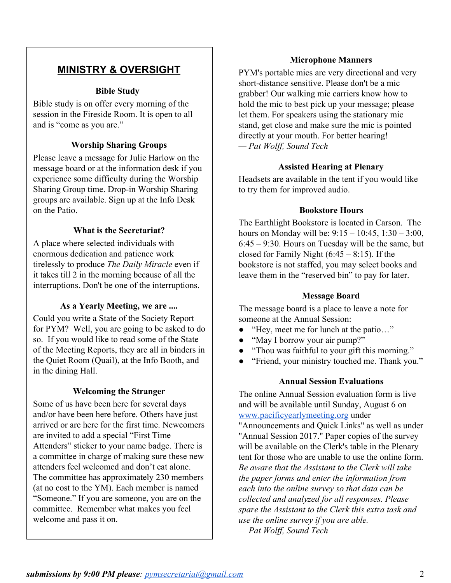# **MINISTRY & OVERSIGHT**

#### **Bible Study**

Bible study is on offer every morning of the session in the Fireside Room. It is open to all and is "come as you are."

#### **Worship Sharing Groups**

Please leave a message for Julie Harlow on the message board or at the information desk if you experience some difficulty during the Worship Sharing Group time. Drop-in Worship Sharing groups are available. Sign up at the Info Desk on the Patio.

#### **What is the Secretariat?**

A place where selected individuals with enormous dedication and patience work tirelessly to produce *The Daily Miracle* even if it takes till 2 in the morning because of all the interruptions. Don't be one of the interruptions.

#### **As a Yearly Meeting, we are ....**

Could you write a State of the Society Report for PYM? Well, you are going to be asked to do so. If you would like to read some of the State of the Meeting Reports, they are all in binders in the Quiet Room (Quail), at the Info Booth, and in the dining Hall.

#### **Welcoming the Stranger**

Some of us have been here for several days and/or have been here before. Others have just arrived or are here for the first time. Newcomers are invited to add a special "First Time Attenders" sticker to your name badge. There is a committee in charge of making sure these new attenders feel welcomed and don't eat alone. The committee has approximately 230 members (at no cost to the YM). Each member is named "Someone." If you are someone, you are on the committee. Remember what makes you feel welcome and pass it on.

#### **Microphone Manners**

PYM's portable mics are very directional and very short-distance sensitive. Please don't be a mic grabber! Our walking mic carriers know how to hold the mic to best pick up your message; please let them. For speakers using the stationary mic stand, get close and make sure the mic is pointed directly at your mouth. For better hearing! *— Pat Wolff, Sound Tech*

#### **Assisted Hearing at Plenary**

Headsets are available in the tent if you would like to try them for improved audio.

#### **Bookstore Hours**

The Earthlight Bookstore is located in Carson. The hours on Monday will be: 9:15 – 10:45, 1:30 – 3:00, 6:45 – 9:30. Hours on Tuesday will be the same, but closed for Family Night  $(6:45 - 8:15)$ . If the bookstore is not staffed, you may select books and leave them in the "reserved bin" to pay for later.

#### **Message Board**

The message board is a place to leave a note for someone at the Annual Session:

- "Hey, meet me for lunch at the patio…"
- "May I borrow your air pump?"
- "Thou was faithful to your gift this morning."
- "Friend, your ministry touched me. Thank you."

#### **Annual Session Evaluations**

The online Annual Session evaluation form is live and will be available until Sunday, August 6 on [www.pacificyearlymeeting.org](http://www.pacificyearlymeeting.org/) under

"Announcements and Quick Links" as well as under "Annual Session 2017." Paper copies of the survey will be available on the Clerk's table in the Plenary tent for those who are unable to use the online form. *Be aware that the Assistant to the Clerk will take the paper forms and enter the information from each into the online survey so that data can be collected and analyzed for all responses. Please spare the Assistant to the Clerk this extra task and use the online survey if you are able. — Pat Wolff, Sound Tech*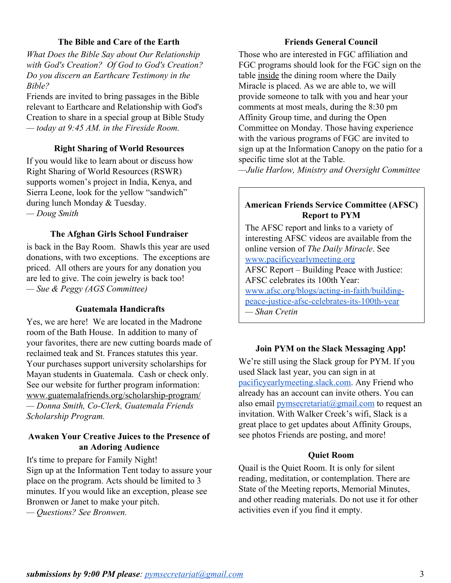#### **The Bible and Care of the Earth**

*What Does the Bible Say about Our Relationship with God's Creation? Of God to God's Creation? Do you discern an Earthcare Testimony in the Bible?*

Friends are invited to bring passages in the Bible relevant to Earthcare and Relationship with God's Creation to share in a special group at Bible Study *— today at 9:45 AM. in the Fireside Room.*

#### **Right Sharing of World Resources**

If you would like to learn about or discuss how Right Sharing of World Resources (RSWR) supports women's project in India, Kenya, and Sierra Leone, look for the yellow "sandwich" during lunch Monday & Tuesday. *— Doug Smith*

#### **The Afghan Girls School Fundraiser**

is back in the Bay Room. Shawls this year are used donations, with two exceptions. The exceptions are priced. All others are yours for any donation you are led to give. The coin jewelry is back too! *— Sue & Peggy (AGS Committee)*

#### **Guatemala Handicrafts**

Yes, we are here! We are located in the Madrone room of the Bath House. In addition to many of your favorites, there are new cutting boards made of reclaimed teak and St. Frances statutes this year. Your purchases support university scholarships for Mayan students in Guatemala. Cash or check only. See our website for further program information: www.guatemalafriends.org/scholarship-program/

*— Donna Smith, Co-Clerk, Guatemala Friends Scholarship Program.*

#### **Awaken Your Creative Juices to the Presence of an Adoring Audience**

It's time to prepare for Family Night! Sign up at the Information Tent today to assure your place on the program. Acts should be limited to 3 minutes. If you would like an exception, please see Bronwen or Janet to make your pitch.

*— Questions? See Bronwen.*

#### **Friends General Council**

Those who are interested in FGC affiliation and FGC programs should look for the FGC sign on the table inside the dining room where the Daily Miracle is placed. As we are able to, we will provide someone to talk with you and hear your comments at most meals, during the 8:30 pm Affinity Group time, and during the Open Committee on Monday. Those having experience with the various programs of FGC are invited to sign up at the Information Canopy on the patio for a specific time slot at the Table.

*—Julie Harlow, Ministry and Oversight Committee*

#### **American Friends Service Committee (AFSC) Report to PYM**

The AFSC report and links to a variety of interesting AFSC videos are available from the online version of *The Daily Miracle*. See [www.pacificyearlymeeting.org](http://www.pacificyearlymeeting.org/) AFSC Report – Building Peace with Justice: AFSC celebrates its 100th Year: [www.afsc.org/blogs/acting-in-faith/building](https://www.afsc.org/blogs/acting-in-faith/building-peace-justice-afsc-celebrates-its-100th-year)[peace-justice-afsc-celebrates-its-100th-year](https://www.afsc.org/blogs/acting-in-faith/building-peace-justice-afsc-celebrates-its-100th-year) *— Shan Cretin*

#### **Join PYM on the Slack Messaging App!**

We're still using the Slack group for PYM. If you used Slack last year, you can sign in at [pacificyearlymeeting.slack.com.](http://pacificyearlymeeting.slack.com/) Any Friend who already has an account can invite others. You can also email *pymsecretariat* $\omega$ gmail.com to request an invitation. With Walker Creek's wifi, Slack is a great place to get updates about Affinity Groups, see photos Friends are posting, and more!

#### **Quiet Room**

Quail is the Quiet Room. It is only for silent reading, meditation, or contemplation. There are State of the Meeting reports, Memorial Minutes, and other reading materials. Do not use it for other activities even if you find it empty.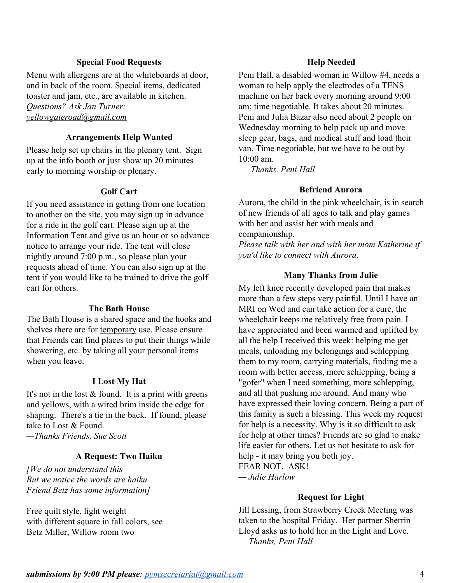#### **Special Food Requests**

Menu with allergens are at the whiteboards at door, and in back of the room. Special items, dedicated toaster and jam, etc., are available in kitchen. *Questions? Ask Jan Turner: [yellowgateroad@gmail.com](mailto:yellowgateroad@gmail.com)*

#### **Arrangements Help Wanted**

Please help set up chairs in the plenary tent. Sign up at the info booth or just show up 20 minutes early to morning worship or plenary.

#### **Golf Cart**

If you need assistance in getting from one location to another on the site, you may sign up in advance for a ride in the golf cart. Please sign up at the Information Tent and give us an hour or so advance notice to arrange your ride. The tent will close nightly around 7:00 p.m., so please plan your requests ahead of time. You can also sign up at the tent if you would like to be trained to drive the golf cart for others.

#### **The Bath House**

The Bath House is a shared space and the hooks and shelves there are for temporary use. Please ensure that Friends can find places to put their things while showering, etc. by taking all your personal items when you leave.

#### **I Lost My Hat**

It's not in the lost  $&$  found. It is a print with greens and yellows, with a wired brim inside the edge for shaping. There's a tie in the back. If found, please take to Lost & Found.

*—Thanks Friends, Sue Scott*

#### **A Request: Two Haiku**

*[We do not understand this But we notice the words are haiku Friend Betz has some information]*

Free quilt style, light weight with different square in fall colors, see Betz Miller, Willow room two

#### **Help Needed**

Peni Hall, a disabled woman in Willow #4, needs a woman to help apply the electrodes of a TENS machine on her back every morning around 9:00 am; time negotiable. It takes about 20 minutes. Peni and Julia Bazar also need about 2 people on Wednesday morning to help pack up and move sleep gear, bags, and medical stuff and load their van. Time negotiable, but we have to be out by 10:00 am.

 *— Thanks. Peni Hall*

#### **Befriend Aurora**

Aurora, the child in the pink wheelchair, is in search of new friends of all ages to talk and play games with her and assist her with meals and companionship.

*Please talk with her and with her mom Katherine if you'd like to connect with Aurora.*

#### **Many Thanks from Julie**

My left knee recently developed pain that makes more than a few steps very painful. Until I have an MRI on Wed and can take action for a cure, the wheelchair keeps me relatively free from pain. I have appreciated and been warmed and uplifted by all the help I received this week: helping me get meals, unloading my belongings and schlepping them to my room, carrying materials, finding me a room with better access, more schlepping, being a "gofer" when I need something, more schlepping, and all that pushing me around. And many who have expressed their loving concern. Being a part of this family is such a blessing. This week my request for help is a necessity. Why is it so difficult to ask for help at other times? Friends are so glad to make life easier for others. Let us not hesitate to ask for help - it may bring you both joy. FEAR NOT. ASK! *— Julie Harlow*

#### **Request for Light**

Jill Lessing, from Strawberry Creek Meeting was taken to the hospital Friday. Her partner Sherrin Lloyd asks us to hold her in the Light and Love. *— Thanks, Peni Hall*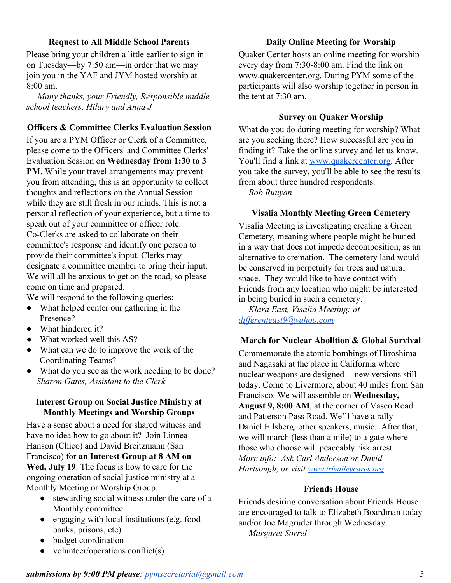#### **Request to All Middle School Parents**

Please bring your children a little earlier to sign in on Tuesday—by 7:50 am—in order that we may join you in the YAF and JYM hosted worship at 8:00 am.

— *Many thanks, your Friendly, Responsible middle school teachers, Hilary and Anna J*

#### **Officers & Committee Clerks Evaluation Session**

If you are a PYM Officer or Clerk of a Committee, please come to the Officers' and Committee Clerks' Evaluation Session on **Wednesday from 1:30 to 3 PM**. While your travel arrangements may prevent you from attending, this is an opportunity to collect thoughts and reflections on the Annual Session while they are still fresh in our minds. This is not a personal reflection of your experience, but a time to speak out of your committee or officer role. Co-Clerks are asked to collaborate on their committee's response and identify one person to provide their committee's input. Clerks may designate a committee member to bring their input. We will all be anxious to get on the road, so please come on time and prepared.

We will respond to the following queries:

- What helped center our gathering in the Presence?
- What hindered it?
- What worked well this AS?
- What can we do to improve the work of the Coordinating Teams?
- What do you see as the work needing to be done?
- *Sharon Gates, Assistant to the Clerk*

#### **Interest Group on Social Justice Ministry at Monthly Meetings and Worship Groups**

Have a sense about a need for shared witness and have no idea how to go about it? Join Linnea Hanson (Chico) and David Breitzmann (San Francisco) for **an Interest Group at 8 AM on Wed, July 19**. The focus is how to care for the ongoing operation of social justice ministry at a Monthly Meeting or Worship Group.

- stewarding social witness under the care of a Monthly committee
- engaging with local institutions (e.g. food banks, prisons, etc)
- budget coordination
- volunteer/operations conflict(s)

#### **Daily Online Meeting for Worship**

Quaker Center hosts an online meeting for worship every day from 7:30-8:00 am. Find the link on www.quakercenter.org. During PYM some of the participants will also worship together in person in the tent at 7:30 am.

#### **Survey on Quaker Worship**

What do you do during meeting for worship? What are you seeking there? How successful are you in finding it? Take the online survey and let us know. You'll find a link at [www.quakercenter.org.](http://www.quakercenter.org/) After you take the survey, you'll be able to see the results from about three hundred respondents. *— Bob Runyan*

#### **Visalia Monthly Meeting Green Cemetery**

Visalia Meeting is investigating creating a Green Cemetery, meaning where people might be buried in a way that does not impede decomposition, as an alternative to cremation. The cemetery land would be conserved in perpetuity for trees and natural space. They would like to have contact with Friends from any location who might be interested in being buried in such a cemetery.

*— Klara East, Visalia Meeting: at [differenteast9@yahoo.com](mailto:differenteast9@yahoo.com)*

#### **March for Nuclear Abolition & Global Survival**

Commemorate the atomic bombings of Hiroshima and Nagasaki at the place in California where nuclear weapons are designed -- new versions still today. Come to Livermore, about 40 miles from San Francisco. We will assemble on **Wednesday, August 9, 8:00 AM**, at the corner of Vasco Road and Patterson Pass Road. We'll have a rally -- Daniel Ellsberg, other speakers, music. After that, we will march (less than a mile) to a gate where those who choose will peaceably risk arrest. *More info: Ask Carl Anderson or David Hartsough, or visit [www.trivalleycares.org](http://www.trivalleycares.org/)*

#### **Friends House**

Friends desiring conversation about Friends House are encouraged to talk to Elizabeth Boardman today and/or Joe Magruder through Wednesday. *— Margaret Sorrel*